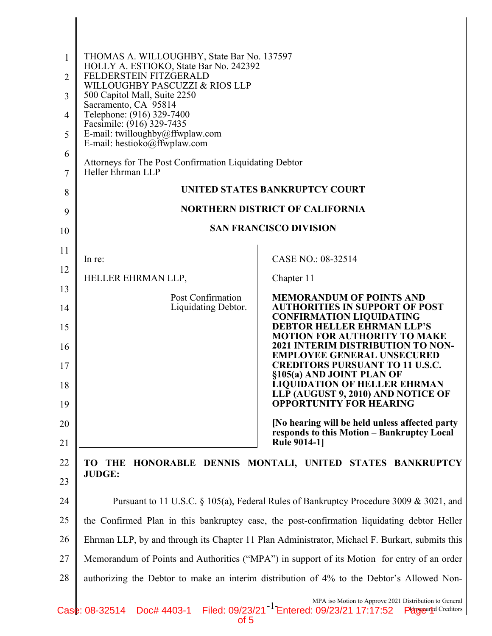| $\mathbf{1}$<br>2   | THOMAS A. WILLOUGHBY, State Bar No. 137597<br>HOLLY A. ESTIOKO, State Bar No. 242392<br>FELDERSTEIN FITZGERALD |                                                                                                                                                       |
|---------------------|----------------------------------------------------------------------------------------------------------------|-------------------------------------------------------------------------------------------------------------------------------------------------------|
| 3                   | WILLOUGHBY PASCUZZI & RIOS LLP<br>500 Capitol Mall, Suite 2250                                                 |                                                                                                                                                       |
|                     | Sacramento, CA 95814<br>Telephone: (916) 329-7400                                                              |                                                                                                                                                       |
| $\overline{4}$      | Facsimile: (916) 329-7435                                                                                      |                                                                                                                                                       |
| 5                   | E-mail: twilloughby@ffwplaw.com<br>E-mail: hestioko@ffwplaw.com                                                |                                                                                                                                                       |
| 6<br>$\overline{7}$ | Attorneys for The Post Confirmation Liquidating Debtor<br>Heller Ehrman LLP                                    |                                                                                                                                                       |
| 8                   |                                                                                                                | UNITED STATES BANKRUPTCY COURT                                                                                                                        |
| 9                   |                                                                                                                | <b>NORTHERN DISTRICT OF CALIFORNIA</b>                                                                                                                |
| 10                  |                                                                                                                | <b>SAN FRANCISCO DIVISION</b>                                                                                                                         |
| 11                  |                                                                                                                |                                                                                                                                                       |
| 12                  | In re:                                                                                                         | CASE NO.: 08-32514                                                                                                                                    |
| 13                  | HELLER EHRMAN LLP,                                                                                             | Chapter 11                                                                                                                                            |
| 14                  | Post Confirmation<br>Liquidating Debtor.                                                                       | <b>MEMORANDUM OF POINTS AND</b><br><b>AUTHORITIES IN SUPPORT OF POST</b>                                                                              |
| 15                  |                                                                                                                | <b>CONFIRMATION LIQUIDATING</b><br><b>DEBTOR HELLER EHRMAN LLP'S</b>                                                                                  |
| 16                  |                                                                                                                | <b>MOTION FOR AUTHORITY TO MAKE</b><br><b>2021 INTERIM DISTRIBUTION TO NON-</b>                                                                       |
| 17                  |                                                                                                                | <b>EMPLOYEE GENERAL UNSECURED</b><br><b>CREDITORS PURSUANT TO 11 U.S.C.</b><br>§105(a) AND JOINT PLAN OF                                              |
| 18<br>19            |                                                                                                                | <b>LIQUIDATION OF HELLER EHRMAN</b><br>LLP (AUGUST 9, 2010) AND NOTICE OF<br><b>OPPORTUNITY FOR HEARING</b>                                           |
| 20                  |                                                                                                                | [No hearing will be held unless affected party                                                                                                        |
| 21                  |                                                                                                                | responds to this Motion – Bankruptcy Local<br><b>Rule 9014-11</b>                                                                                     |
| 22                  | HONORABLE DENNIS MONTALI, UNITED STATES BANKRUPTCY<br>TO -<br>THE                                              |                                                                                                                                                       |
| 23                  | <b>JUDGE:</b>                                                                                                  |                                                                                                                                                       |
| 24                  | Pursuant to 11 U.S.C. § 105(a), Federal Rules of Bankruptcy Procedure 3009 & 3021, and                         |                                                                                                                                                       |
| 25                  | the Confirmed Plan in this bankruptcy case, the post-confirmation liquidating debtor Heller                    |                                                                                                                                                       |
| 26                  | Ehrman LLP, by and through its Chapter 11 Plan Administrator, Michael F. Burkart, submits this                 |                                                                                                                                                       |
| 27                  | Memorandum of Points and Authorities ("MPA") in support of its Motion for entry of an order                    |                                                                                                                                                       |
| 28                  | authorizing the Debtor to make an interim distribution of 4% to the Debtor's Allowed Non-                      |                                                                                                                                                       |
|                     | Case: 08-32514                                                                                                 | MPA iso Motion to Approve 2021 Distribution to General<br>Doc# 4403-1 Filed: 09/23/21 <sup>-1</sup> Entered: 09/23/21 17:17:52<br>Perseured Creditors |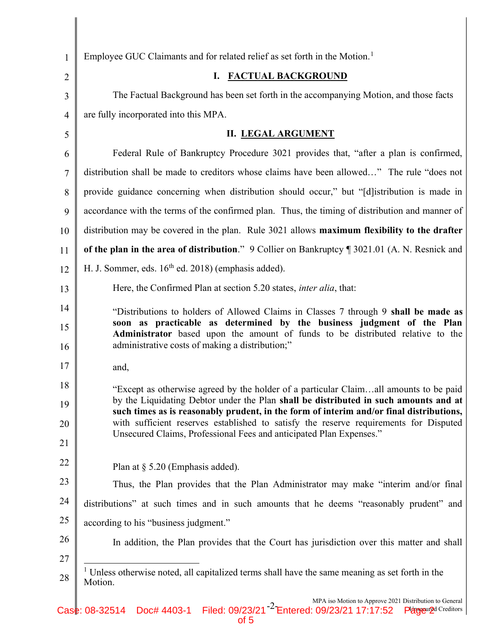| $\mathbf{1}$   | Employee GUC Claimants and for related relief as set forth in the Motion. <sup>1</sup>                                                                                                                      |  |  |
|----------------|-------------------------------------------------------------------------------------------------------------------------------------------------------------------------------------------------------------|--|--|
| $\overline{2}$ | <b>FACTUAL BACKGROUND</b><br>I.                                                                                                                                                                             |  |  |
| 3              | The Factual Background has been set forth in the accompanying Motion, and those facts                                                                                                                       |  |  |
| $\overline{4}$ | are fully incorporated into this MPA.                                                                                                                                                                       |  |  |
| 5              | <b>II. LEGAL ARGUMENT</b>                                                                                                                                                                                   |  |  |
| 6              | Federal Rule of Bankruptcy Procedure 3021 provides that, "after a plan is confirmed,                                                                                                                        |  |  |
| $\overline{7}$ | distribution shall be made to creditors whose claims have been allowed" The rule "does not                                                                                                                  |  |  |
| 8              | provide guidance concerning when distribution should occur," but "[d] istribution is made in                                                                                                                |  |  |
| 9              | accordance with the terms of the confirmed plan. Thus, the timing of distribution and manner of                                                                                                             |  |  |
| 10             | distribution may be covered in the plan. Rule 3021 allows maximum flexibility to the drafter                                                                                                                |  |  |
| 11             | of the plan in the area of distribution." 9 Collier on Bankruptcy ¶ 3021.01 (A. N. Resnick and                                                                                                              |  |  |
| 12             | H. J. Sommer, eds. 16 <sup>th</sup> ed. 2018) (emphasis added).                                                                                                                                             |  |  |
| 13             | Here, the Confirmed Plan at section 5.20 states, <i>inter alia</i> , that:                                                                                                                                  |  |  |
| 14             | "Distributions to holders of Allowed Claims in Classes 7 through 9 shall be made as                                                                                                                         |  |  |
| 15<br>16       | soon as practicable as determined by the business judgment of the Plan<br>Administrator based upon the amount of funds to be distributed relative to the<br>administrative costs of making a distribution;" |  |  |
| 17             | and,                                                                                                                                                                                                        |  |  |
| 18             | "Except as otherwise agreed by the holder of a particular Claimall amounts to be paid                                                                                                                       |  |  |
| 19             | by the Liquidating Debtor under the Plan shall be distributed in such amounts and at<br>such times as is reasonably prudent, in the form of interim and/or final distributions,                             |  |  |
| 20             | with sufficient reserves established to satisfy the reserve requirements for Disputed                                                                                                                       |  |  |
| 21             | Unsecured Claims, Professional Fees and anticipated Plan Expenses."                                                                                                                                         |  |  |
| 22             | Plan at $\S$ 5.20 (Emphasis added).                                                                                                                                                                         |  |  |
| 23             | Thus, the Plan provides that the Plan Administrator may make "interim and/or final                                                                                                                          |  |  |
| 24             | distributions" at such times and in such amounts that he deems "reasonably prudent" and                                                                                                                     |  |  |
| 25             | according to his "business judgment."                                                                                                                                                                       |  |  |
| 26             | In addition, the Plan provides that the Court has jurisdiction over this matter and shall                                                                                                                   |  |  |
| 27             |                                                                                                                                                                                                             |  |  |
| 28             | <sup>1</sup> Unless otherwise noted, all capitalized terms shall have the same meaning as set forth in the<br>Motion.                                                                                       |  |  |
|                | MPA iso Motion to Approve 2021 Distribution to General                                                                                                                                                      |  |  |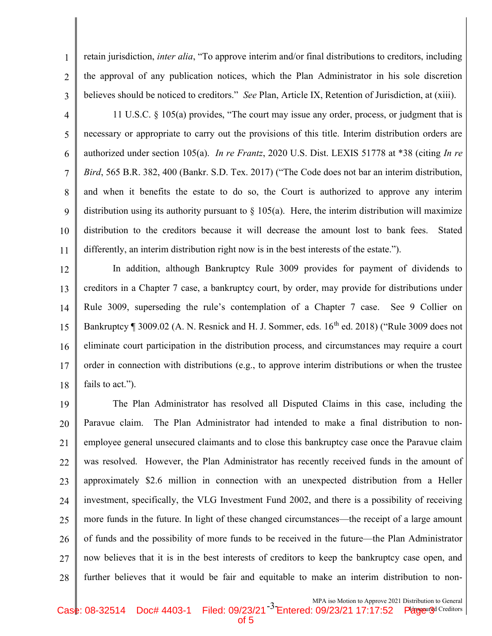retain jurisdiction, *inter alia*, "To approve interim and/or final distributions to creditors, including the approval of any publication notices, which the Plan Administrator in his sole discretion believes should be noticed to creditors." See Plan, Article IX, Retention of Jurisdiction, at (xiii).

3 4

1

2

5 6 7 8 9 10 11 11 U.S.C. § 105(a) provides, "The court may issue any order, process, or judgment that is necessary or appropriate to carry out the provisions of this title. Interim distribution orders are authorized under section 105(a). In re Frantz, 2020 U.S. Dist. LEXIS 51778 at \*38 (citing In re Bird, 565 B.R. 382, 400 (Bankr. S.D. Tex. 2017) ("The Code does not bar an interim distribution, and when it benefits the estate to do so, the Court is authorized to approve any interim distribution using its authority pursuant to  $\S 105(a)$ . Here, the interim distribution will maximize distribution to the creditors because it will decrease the amount lost to bank fees. Stated differently, an interim distribution right now is in the best interests of the estate.").

12 13 14 15 16 17 18 In addition, although Bankruptcy Rule 3009 provides for payment of dividends to creditors in a Chapter 7 case, a bankruptcy court, by order, may provide for distributions under Rule 3009, superseding the rule's contemplation of a Chapter 7 case. See 9 Collier on Bankruptcy ¶ 3009.02 (A. N. Resnick and H. J. Sommer, eds. 16<sup>th</sup> ed. 2018) ("Rule 3009 does not eliminate court participation in the distribution process, and circumstances may require a court order in connection with distributions (e.g., to approve interim distributions or when the trustee fails to act.").

19 20 21 22 23 24 25 26 27 28 The Plan Administrator has resolved all Disputed Claims in this case, including the Paravue claim. The Plan Administrator had intended to make a final distribution to nonemployee general unsecured claimants and to close this bankruptcy case once the Paravue claim was resolved. However, the Plan Administrator has recently received funds in the amount of approximately \$2.6 million in connection with an unexpected distribution from a Heller investment, specifically, the VLG Investment Fund 2002, and there is a possibility of receiving more funds in the future. In light of these changed circumstances—the receipt of a large amount of funds and the possibility of more funds to be received in the future—the Plan Administrator now believes that it is in the best interests of creditors to keep the bankruptcy case open, and further believes that it would be fair and equitable to make an interim distribution to non-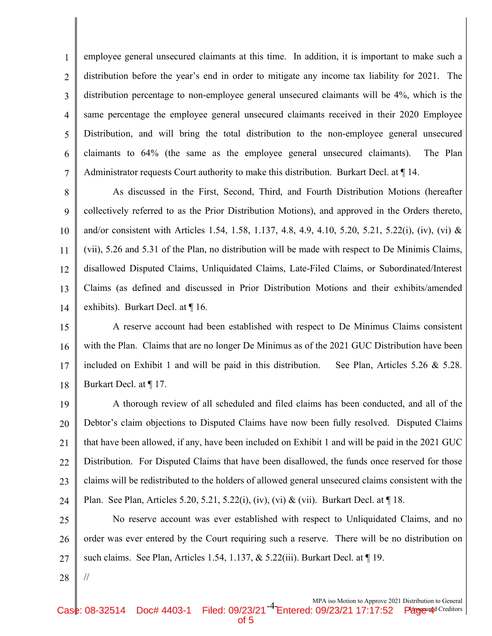1 2 3 4 5 6 7 employee general unsecured claimants at this time. In addition, it is important to make such a distribution before the year's end in order to mitigate any income tax liability for 2021. The distribution percentage to non-employee general unsecured claimants will be 4%, which is the same percentage the employee general unsecured claimants received in their 2020 Employee Distribution, and will bring the total distribution to the non-employee general unsecured claimants to 64% (the same as the employee general unsecured claimants). The Plan Administrator requests Court authority to make this distribution. Burkart Decl. at  $\P$  14.

8 9 10 11 12 13 14 As discussed in the First, Second, Third, and Fourth Distribution Motions (hereafter collectively referred to as the Prior Distribution Motions), and approved in the Orders thereto, and/or consistent with Articles 1.54, 1.58, 1.137, 4.8, 4.9, 4.10, 5.20, 5.21, 5.22(i), (iv), (vi) & (vii), 5.26 and 5.31 of the Plan, no distribution will be made with respect to De Minimis Claims, disallowed Disputed Claims, Unliquidated Claims, Late-Filed Claims, or Subordinated/Interest Claims (as defined and discussed in Prior Distribution Motions and their exhibits/amended exhibits). Burkart Decl. at ¶ 16.

15 16 17 18 A reserve account had been established with respect to De Minimus Claims consistent with the Plan. Claims that are no longer De Minimus as of the 2021 GUC Distribution have been included on Exhibit 1 and will be paid in this distribution. See Plan, Articles  $5.26 \& 5.28$ . Burkart Decl. at ¶ 17.

19 20 21 22 23 24 A thorough review of all scheduled and filed claims has been conducted, and all of the Debtor's claim objections to Disputed Claims have now been fully resolved. Disputed Claims that have been allowed, if any, have been included on Exhibit 1 and will be paid in the 2021 GUC Distribution. For Disputed Claims that have been disallowed, the funds once reserved for those claims will be redistributed to the holders of allowed general unsecured claims consistent with the Plan. See Plan, Articles 5.20, 5.21, 5.22(i), (iv), (vi) & (vii). Burkart Decl. at  $\P$  18.

25 26 27 No reserve account was ever established with respect to Unliquidated Claims, and no order was ever entered by the Court requiring such a reserve. There will be no distribution on such claims. See Plan, Articles 1.54, 1.137, & 5.22(iii). Burkart Decl. at ¶ 19.

28

//